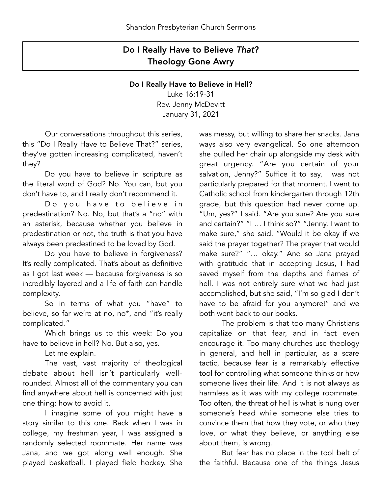## Do I Really Have to Believe *That*? Theology Gone Awry

## Do I Really Have to Believe in Hell?

Luke 16:19-31 Rev. Jenny McDevitt January 31, 2021

 Our conversations throughout this series, this "Do I Really Have to Believe That?" series, they've gotten increasing complicated, haven't they?

 Do you have to believe in scripture as the literal word of God? No. You can, but you don't have to, and I really don't recommend it.

Do you have to believe in predestination? No. No, but that's a "no" with an asterisk, because whether you believe in predestination or not, the truth is that you have always been predestined to be loved by God.

 Do you have to believe in forgiveness? It's really complicated. That's about as definitive as I got last week — because forgiveness is so incredibly layered and a life of faith can handle complexity.

 So in terms of what you "have" to believe, so far we're at no, no\*, and "it's really complicated."

 Which brings us to this week: Do you have to believe in hell? No. But also, yes.

Let me explain.

 The vast, vast majority of theological debate about hell isn't particularly wellrounded. Almost all of the commentary you can find anywhere about hell is concerned with just one thing: how to avoid it.

 I imagine some of you might have a story similar to this one. Back when I was in college, my freshman year, I was assigned a randomly selected roommate. Her name was Jana, and we got along well enough. She played basketball, I played field hockey. She was messy, but willing to share her snacks. Jana ways also very evangelical. So one afternoon she pulled her chair up alongside my desk with great urgency. "Are you certain of your salvation, Jenny?" Suffice it to say, I was not particularly prepared for that moment. I went to Catholic school from kindergarten through 12th grade, but this question had never come up. "Um, yes?" I said. "Are you sure? Are you sure and certain?" "I … I think so?" "Jenny, I want to make sure," she said. "Would it be okay if we said the prayer together? The prayer that would make sure?" "… okay." And so Jana prayed with gratitude that in accepting Jesus, I had saved myself from the depths and flames of hell. I was not entirely sure what we had just accomplished, but she said, "I'm so glad I don't have to be afraid for you anymore!" and we both went back to our books.

 The problem is that too many Christians capitalize on that fear, and in fact even encourage it. Too many churches use theology in general, and hell in particular, as a scare tactic, because fear is a remarkably effective tool for controlling what someone thinks or how someone lives their life. And it is not always as harmless as it was with my college roommate. Too often, the threat of hell is what is hung over someone's head while someone else tries to convince them that how they vote, or who they love, or what they believe, or anything else about them, is wrong.

 But fear has no place in the tool belt of the faithful. Because one of the things Jesus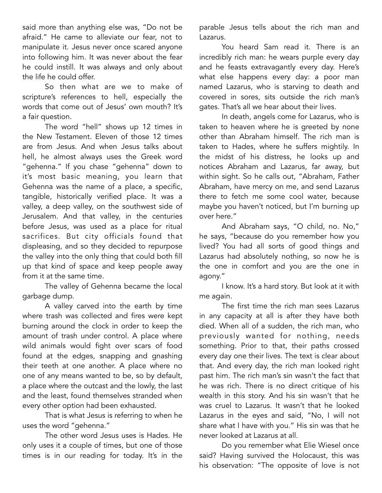said more than anything else was, "Do not be afraid." He came to alleviate our fear, not to manipulate it. Jesus never once scared anyone into following him. It was never about the fear he could instill. It was always and only about the life he could offer.

 So then what are we to make of scripture's references to hell, especially the words that come out of Jesus' own mouth? It's a fair question.

 The word "hell" shows up 12 times in the New Testament. Eleven of those 12 times are from Jesus. And when Jesus talks about hell, he almost always uses the Greek word "gehenna." If you chase "gehenna" down to it's most basic meaning, you learn that Gehenna was the name of a place, a specific, tangible, historically verified place. It was a valley, a deep valley, on the southwest side of Jerusalem. And that valley, in the centuries before Jesus, was used as a place for ritual sacrifices. But city officials found that displeasing, and so they decided to repurpose the valley into the only thing that could both fill up that kind of space and keep people away from it at the same time.

 The valley of Gehenna became the local garbage dump.

 A valley carved into the earth by time where trash was collected and fires were kept burning around the clock in order to keep the amount of trash under control. A place where wild animals would fight over scars of food found at the edges, snapping and gnashing their teeth at one another. A place where no one of any means wanted to be, so by default, a place where the outcast and the lowly, the last and the least, found themselves stranded when every other option had been exhausted.

 That is what Jesus is referring to when he uses the word "gehenna."

 The other word Jesus uses is Hades. He only uses it a couple of times, but one of those times is in our reading for today. It's in the parable Jesus tells about the rich man and Lazarus.

 You heard Sam read it. There is an incredibly rich man: he wears purple every day and he feasts extravagantly every day. Here's what else happens every day: a poor man named Lazarus, who is starving to death and covered in sores, sits outside the rich man's gates. That's all we hear about their lives.

 In death, angels come for Lazarus, who is taken to heaven where he is greeted by none other than Abraham himself. The rich man is taken to Hades, where he suffers mightily. In the midst of his distress, he looks up and notices Abraham and Lazarus, far away, but within sight. So he calls out, "Abraham, Father Abraham, have mercy on me, and send Lazarus there to fetch me some cool water, because maybe you haven't noticed, but I'm burning up over here."

 And Abraham says, "O child, no. No," he says, "because do you remember how you lived? You had all sorts of good things and Lazarus had absolutely nothing, so now he is the one in comfort and you are the one in agony."

 I know. It's a hard story. But look at it with me again.

 The first time the rich man sees Lazarus in any capacity at all is after they have both died. When all of a sudden, the rich man, who previously wanted for nothing, needs something. Prior to that, their paths crossed every day one their lives. The text is clear about that. And every day, the rich man looked right past him. The rich man's sin wasn't the fact that he was rich. There is no direct critique of his wealth in this story. And his sin wasn't that he was cruel to Lazarus. It wasn't that he looked Lazarus in the eyes and said, "No, I will not share what I have with you." His sin was that he never looked at Lazarus at all.

 Do you remember what Elie Wiesel once said? Having survived the Holocaust, this was his observation: "The opposite of love is not